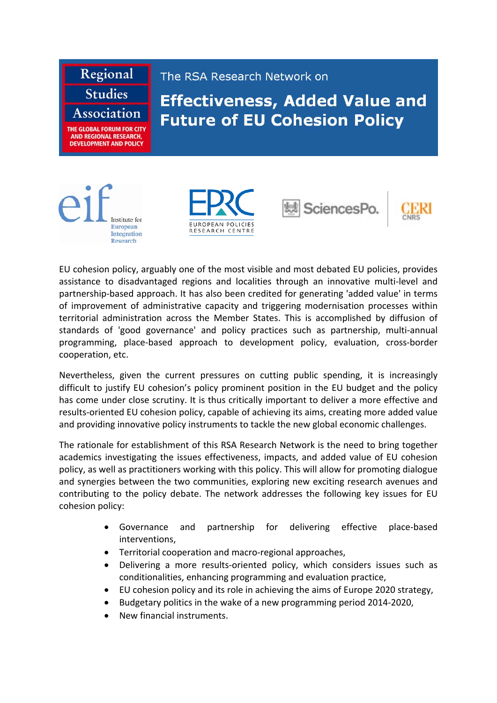

Institute for European Integration Research







EU cohesion policy, arguably one of the most visible and most debated EU policies, provides assistance to disadvantaged regions and localities through an innovative multi‐level and partnership‐based approach. It has also been credited for generating 'added value' in terms of improvement of administrative capacity and triggering modernisation processes within territorial administration across the Member States. This is accomplished by diffusion of standards of 'good governance' and policy practices such as partnership, multi‐annual programming, place‐based approach to development policy, evaluation, cross‐border cooperation, etc.

Nevertheless, given the current pressures on cutting public spending, it is increasingly difficult to justify EU cohesion's policy prominent position in the EU budget and the policy has come under close scrutiny. It is thus critically important to deliver a more effective and results‐oriented EU cohesion policy, capable of achieving its aims, creating more added value and providing innovative policy instruments to tackle the new global economic challenges.

The rationale for establishment of this RSA Research Network is the need to bring together academics investigating the issues effectiveness, impacts, and added value of EU cohesion policy, as well as practitioners working with this policy. This will allow for promoting dialogue and synergies between the two communities, exploring new exciting research avenues and contributing to the policy debate. The network addresses the following key issues for EU cohesion policy:

- Governance and partnership for delivering effective place‐based interventions,
- Territorial cooperation and macro-regional approaches,
- Delivering a more results-oriented policy, which considers issues such as conditionalities, enhancing programming and evaluation practice,
- EU cohesion policy and its role in achieving the aims of Europe 2020 strategy,
- Budgetary politics in the wake of a new programming period 2014‐2020,
- New financial instruments.